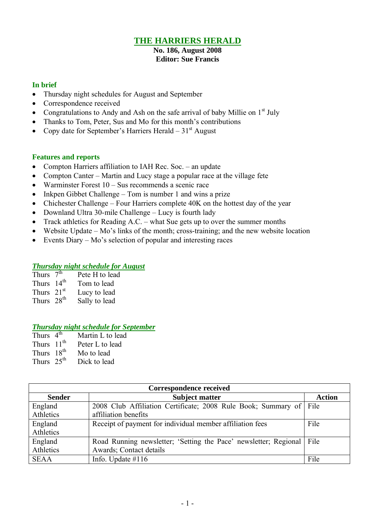## **THE HARRIERS HERALD**

#### **No. 186, August 2008 Editor: Sue Francis**

### **In brief**

- Thursday night schedules for August and September
- Correspondence received
- Congratulations to Andy and Ash on the safe arrival of baby Millie on  $1<sup>st</sup>$  July
- Thanks to Tom, Peter, Sus and Mo for this month's contributions
- Copy date for September's Harriers Herald  $31<sup>st</sup>$  August

### **Features and reports**

- Compton Harriers affiliation to IAH Rec. Soc. an update
- Compton Canter Martin and Lucy stage a popular race at the village fete
- Warminster Forest 10 Sus recommends a scenic race
- Inkpen Gibbet Challenge Tom is number 1 and wins a prize
- Chichester Challenge Four Harriers complete 40K on the hottest day of the year
- Downland Ultra 30-mile Challenge Lucy is fourth lady
- Track athletics for Reading A.C. what Sue gets up to over the summer months
- Website Update Mo's links of the month; cross-training; and the new website location
- Events Diary Mo's selection of popular and interesting races

#### *Thursday night schedule for August*

| Thurs $7^{\overline{th}}$ | Pete H to lead |
|---------------------------|----------------|
| Thurs $14th$              | Tom to lead    |
| Thurs $21st$              | Lucy to lead   |
| Thurs 28 <sup>th</sup>    | Sally to lead  |

#### *Thursday night schedule for September*

- Thurs  $4^{th}$ <br>Thurs  $11^{th}$ Martin L to lead Peter L to lead Thurs  $18^{th}$  Mo to lead
- Thurs  $25<sup>th</sup>$  Dick to lead

| <b>Correspondence received</b> |                                                                    |               |  |  |  |
|--------------------------------|--------------------------------------------------------------------|---------------|--|--|--|
| <b>Sender</b>                  | <b>Subject matter</b>                                              | <b>Action</b> |  |  |  |
| England                        | 2008 Club Affiliation Certificate; 2008 Rule Book; Summary of File |               |  |  |  |
| Athletics                      | affiliation benefits                                               |               |  |  |  |
| England                        | Receipt of payment for individual member affiliation fees          | File          |  |  |  |
| Athletics                      |                                                                    |               |  |  |  |
| England                        | Road Running newsletter; 'Setting the Pace' newsletter; Regional   | File          |  |  |  |
| Athletics                      | Awards; Contact details                                            |               |  |  |  |
| <b>SEAA</b>                    | Info. Update $\#116$                                               | File          |  |  |  |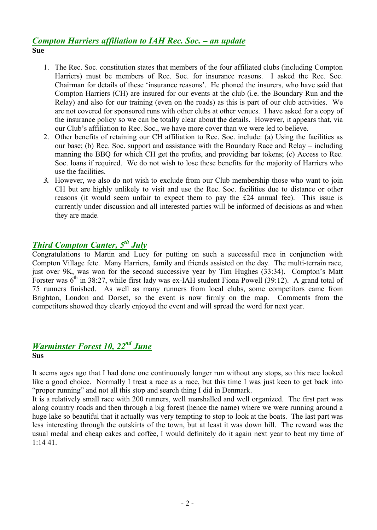## *Compton Harriers affiliation to IAH Rec. Soc. – an update* **Sue**

- 1. The Rec. Soc. constitution states that members of the four affiliated clubs (including Compton Harriers) must be members of Rec. Soc. for insurance reasons. I asked the Rec. Soc. Chairman for details of these 'insurance reasons'. He phoned the insurers, who have said that Compton Harriers (CH) are insured for our events at the club (i.e. the Boundary Run and the Relay) and also for our training (even on the roads) as this is part of our club activities. We are not covered for sponsored runs with other clubs at other venues. I have asked for a copy of the insurance policy so we can be totally clear about the details. However, it appears that, via our Club's affiliation to Rec. Soc., we have more cover than we were led to believe.
- 2. Other benefits of retaining our CH affiliation to Rec. Soc. include: (a) Using the facilities as our base; (b) Rec. Soc. support and assistance with the Boundary Race and Relay – including manning the BBQ for which CH get the profits, and providing bar tokens; (c) Access to Rec. Soc. loans if required. We do not wish to lose these benefits for the majority of Harriers who use the facilities.
- *3.* However, we also do not wish to exclude from our Club membership those who want to join CH but are highly unlikely to visit and use the Rec. Soc. facilities due to distance or other reasons (it would seem unfair to expect them to pay the É24 annual fee). This issue is currently under discussion and all interested parties will be informed of decisions as and when they are made.

## *Third Compton Canter, 5 th July*

Congratulations to Martin and Lucy for putting on such a successful race in conjunction with Compton Village fete. Many Harriers, family and friends assisted on the day. The multi-terrain race, just over 9K, was won for the second successive year by Tim Hughes (33:34). Compton's Matt Forster was  $6<sup>th</sup>$  in 38:27, while first lady was ex-IAH student Fiona Powell (39:12). A grand total of 75 runners finished. As well as many runners from local clubs, some competitors came from Brighton, London and Dorset, so the event is now firmly on the map. Comments from the competitors showed they clearly enjoyed the event and will spread the word for next year.

## *Warminster Forest 10, 22nd June* **Sus**

It seems ages ago that I had done one continuously longer run without any stops, so this race looked like a good choice. Normally I treat a race as a race, but this time I was just keen to get back into "proper running" and not all this stop and search thing I did in Denmark.

It is a relatively small race with 200 runners, well marshalled and well organized. The first part was along country roads and then through a big forest (hence the name) where we were running around a huge lake so beautiful that it actually was very tempting to stop to look at the boats. The last part was less interesting through the outskirts of the town, but at least it was down hill. The reward was the usual medal and cheap cakes and coffee, I would definitely do it again next year to beat my time of 1:14 41.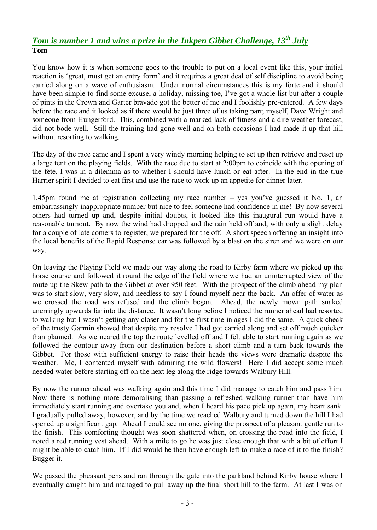# *Tom is number 1 and wins a prize in the Inkpen Gibbet Challenge, 13th July* **Tom**

You know how it is when someone goes to the trouble to put on a local event like this, your initial reaction is 'great, must get an entry form' and it requires a great deal of self discipline to avoid being carried along on a wave of enthusiasm. Under normal circumstances this is my forte and it should have been simple to find some excuse, a holiday, missing toe, I've got a whole list but after a couple of pints in the Crown and Garter bravado got the better of me and I foolishly pre-entered. A few days before the race and it looked as if there would be just three of us taking part; myself, Dave Wright and someone from Hungerford. This, combined with a marked lack of fitness and a dire weather forecast, did not bode well. Still the training had gone well and on both occasions I had made it up that hill without resorting to walking.

The day of the race came and I spent a very windy morning helping to set up then retrieve and reset up a large tent on the playing fields. With the race due to start at 2:00pm to coincide with the opening of the fete, I was in a dilemma as to whether I should have lunch or eat after. In the end in the true Harrier spirit I decided to eat first and use the race to work up an appetite for dinner later.

1.45pm found me at registration collecting my race number – yes you've guessed it No. 1, an embarrassingly inappropriate number but nice to feel someone had confidence in me! By now several others had turned up and, despite initial doubts, it looked like this inaugural run would have a reasonable turnout. By now the wind had dropped and the rain held off and, with only a slight delay for a couple of late comers to register, we prepared for the off. A short speech offering an insight into the local benefits of the Rapid Response car was followed by a blast on the siren and we were on our way.

On leaving the Playing Field we made our way along the road to Kirby farm where we picked up the horse course and followed it round the edge of the field where we had an uninterrupted view of the route up the Skew path to the Gibbet at over 950 feet. With the prospect of the climb ahead my plan was to start slow, very slow, and needless to say I found myself near the back. An offer of water as we crossed the road was refused and the climb began. Ahead, the newly mown path snaked unerringly upwards far into the distance. It wasn't long before I noticed the runner ahead had resorted to walking but I wasn't getting any closer and for the first time in ages I did the same. A quick check of the trusty Garmin showed that despite my resolve I had got carried along and set off much quicker than planned. As we neared the top the route levelled off and I felt able to start running again as we followed the contour away from our destination before a short climb and a turn back towards the Gibbet. For those with sufficient energy to raise their heads the views were dramatic despite the weather. Me, I contented myself with admiring the wild flowers! Here I did accept some much needed water before starting off on the next leg along the ridge towards Walbury Hill.

By now the runner ahead was walking again and this time I did manage to catch him and pass him. Now there is nothing more demoralising than passing a refreshed walking runner than have him immediately start running and overtake you and, when I heard his pace pick up again, my heart sank. I gradually pulled away, however, and by the time we reached Walbury and turned down the hill I had opened up a significant gap. Ahead I could see no one, giving the prospect of a pleasant gentle run to the finish. This comforting thought was soon shattered when, on crossing the road into the field, I noted a red running vest ahead. With a mile to go he was just close enough that with a bit of effort I might be able to catch him. If I did would he then have enough left to make a race of it to the finish? Bugger it.

We passed the pheasant pens and ran through the gate into the parkland behind Kirby house where I eventually caught him and managed to pull away up the final short hill to the farm. At last I was on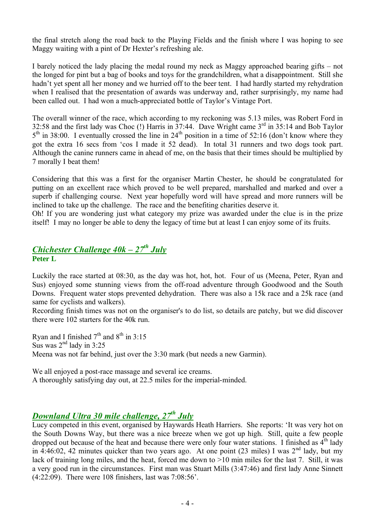the final stretch along the road back to the Playing Fields and the finish where I was hoping to see Maggy waiting with a pint of Dr Hexter's refreshing ale.

I barely noticed the lady placing the medal round my neck as Maggy approached bearing gifts – not the longed for pint but a bag of books and toys for the grandchildren, what a disappointment. Still she hadn't yet spent all her money and we hurried off to the beer tent. I had hardly started my rehydration when I realised that the presentation of awards was underway and, rather surprisingly, my name had been called out. I had won a much-appreciated bottle of Taylor's Vintage Port.

The overall winner of the race, which according to my reckoning was 5.13 miles, was Robert Ford in 32:58 and the first lady was Choc  $(!)$  Harris in 37:44. Dave Wright came  $3<sup>rd</sup>$  in 35:14 and Bob Taylor  $5<sup>th</sup>$  in 38:00. I eventually crossed the line in 24<sup>th</sup> position in a time of 52:16 (don't know where they got the extra 16 secs from 'cos I made it 52 dead). In total 31 runners and two dogs took part. Although the canine runners came in ahead of me, on the basis that their times should be multiplied by 7 morally I beat them!

Considering that this was a first for the organiser Martin Chester, he should be congratulated for putting on an excellent race which proved to be well prepared, marshalled and marked and over a superb if challenging course. Next year hopefully word will have spread and more runners will be inclined to take up the challenge. The race and the benefiting charities deserve it.

Oh! If you are wondering just what category my prize was awarded under the clue is in the prize itself! I may no longer be able to deny the legacy of time but at least I can enjoy some of its fruits.

## *Chichester Challenge 40k – 27th July* **Peter L**

Luckily the race started at 08:30, as the day was hot, hot, hot. Four of us (Meena, Peter, Ryan and Sus) enjoyed some stunning views from the off-road adventure through Goodwood and the South Downs. Frequent water stops prevented dehydration. There was also a 15k race and a 25k race (and same for cyclists and walkers).

Recording finish times was not on the organiser's to do list, so details are patchy, but we did discover there were 102 starters for the 40k run.

Ryan and I finished  $7<sup>th</sup>$  and  $8<sup>th</sup>$  in 3:15 Sus was  $2<sup>nd</sup>$  lady in 3:25 Meena was not far behind, just over the 3:30 mark (but needs a new Garmin).

We all enjoyed a post-race massage and several ice creams. A thoroughly satisfying day out, at 22.5 miles for the imperial-minded.

## *Downland Ultra 30 mile challenge, 27th July*

Lucy competed in this event, organised by Haywards Heath Harriers. She reports: 'It was very hot on the South Downs Way, but there was a nice breeze when we got up high. Still, quite a few people dropped out because of the heat and because there were only four water stations. I finished as  $4<sup>th</sup>$  lady in 4:46:02, 42 minutes quicker than two years ago. At one point (23 miles) I was  $2<sup>nd</sup>$  lady, but my lack of training long miles, and the heat, forced me down to >10 min miles for the last 7. Still, it was a very good run in the circumstances. First man was Stuart Mills (3:47:46) and first lady Anne Sinnett (4:22:09). There were 108 finishers, last was 7:08:56'.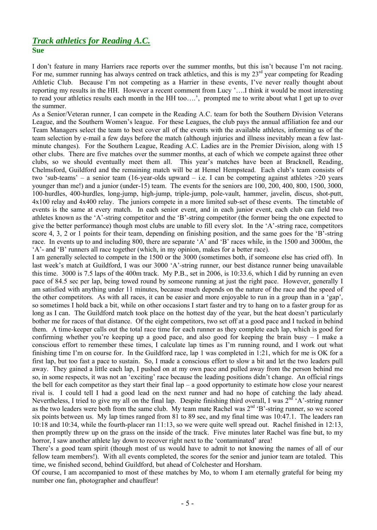### *Track athletics for Reading A.C.* **Sue**

I don't feature in many Harriers race reports over the summer months, but this isn't because I'm not racing. For me, summer running has always centred on track athletics, and this is my 23<sup>rd</sup> year competing for Reading Athletic Club. Because I'm not competing as a Harrier in these events, I've never really thought about reporting my results in the HH. However a recent comment from Lucy '….I think it would be most interesting to read your athletics results each month in the HH too….', prompted me to write about what I get up to over the summer.

As a Senior/Veteran runner, I can compete in the Reading A.C. team for both the Southern Division Veterans League, and the Southern Women's league. For these Leagues, the club pays the annual affiliation fee and our Team Managers select the team to best cover all of the events with the available athletes, informing us of the team selection by e-mail a few days before the match (although injuries and illness inevitably mean a few lastminute changes). For the Southern League, Reading A.C. Ladies are in the Premier Division, along with 15 other clubs. There are five matches over the summer months, at each of which we compete against three other clubs, so we should eventually meet them all. This year's matches have been at Bracknell, Reading, Chelmsford, Guildford and the remaining match will be at Hemel Hempstead. Each club's team consists of two 'sub-teams' – a senior team (16-year-olds upward – i.e. I can be competing against athletes  $>20$  years younger than me!) and a junior (under-15) team. The events for the seniors are 100, 200, 400, 800, 1500, 3000, 100-hurdles, 400-hurdles, long-jump, high-jump, triple-jump, pole-vault, hammer, javelin, discus, shot-putt, 4x100 relay and 4x400 relay. The juniors compete in a more limited sub-set of these events. The timetable of events is the same at every match. In each senior event, and in each junior event, each club can field two athletes known as the 'A'-string competitor and the 'B'-string competitor (the former being the one expected to give the better performance) though most clubs are unable to fill every slot. In the 'A'-string race, competitors score 4, 3, 2 or 1 points for their team, depending on finishing position, and the same goes for the 'B'-string race. In events up to and including 800, there are separate 'A' and 'B' races while, in the 1500 and 3000m, the 'A'- and 'B' runners all race together (which, in my opinion, makes for a better race).

I am generally selected to compete in the 1500 or the 3000 (sometimes both, if someone else has cried off). In last week's match at Guildford, I was our 3000 'A'-string runner, our best distance runner being unavailable this time. 3000 is 7.5 laps of the 400m track. My P.B., set in 2006, is 10:33.6, which I did by running an even pace of 84.5 sec per lap, being towed round by someone running at just the right pace. However, generally I am satisfied with anything under 11 minutes, because much depends on the nature of the race and the speed of the other competitors. As with all races, it can be easier and more enjoyable to run in a group than in a 'gap', so sometimes I hold back a bit, while on other occasions I start faster and try to hang on to a faster group for as long as I can. The Guildford match took place on the hottest day of the year, but the heat doesn't particularly bother me for races of that distance. Of the eight competitors, two set off at a good pace and I tucked in behind them. A time-keeper calls out the total race time for each runner as they complete each lap, which is good for confirming whether you're keeping up a good pace, and also good for keeping the brain busy – I make a conscious effort to remember these times, I calculate lap times as I'm running round, and I work out what finishing time I'm on course for. In the Guildford race, lap 1 was completed in 1:21, which for me is OK for a first lap, but too fast a pace to sustain. So, I made a conscious effort to slow a bit and let the two leaders pull away. They gained a little each lap, I pushed on at my own pace and pulled away from the person behind me so, in some respects, it was not an 'exciting' race because the leading positions didn't change. An official rings the bell for each competitor as they start their final  $\text{lap} - \text{a good opportunity to estimate how close your nearest}$ rival is. I could tell I had a good lead on the next runner and had no hope of catching the lady ahead. Nevertheless, I tried to give my all on the final lap. Despite finishing third overall, I was  $2^{nd}$  'A'-string runner as the two leaders were both from the same club. My team mate Rachel was 2<sup>nd</sup> 'B'-string runner, so we scored six points between us. My lap times ranged from 81 to 89 sec, and my final time was 10:47.1. The leaders ran 10:18 and 10:34, while the fourth-placer ran 11:13, so we were quite well spread out. Rachel finished in 12:13, then promptly threw up on the grass on the inside of the track. Five minutes later Rachel was fine but, to my horror, I saw another athlete lay down to recover right next to the 'contaminated' area!

There's a good team spirit (though most of us would have to admit to not knowing the names of all of our fellow team members!). With all events completed, the scores for the senior and junior team are totaled. This time, we finished second, behind Guildford, but ahead of Colchester and Horsham.

Of course, I am accompanied to most of these matches by Mo, to whom I am eternally grateful for being my number one fan, photographer and chauffeur!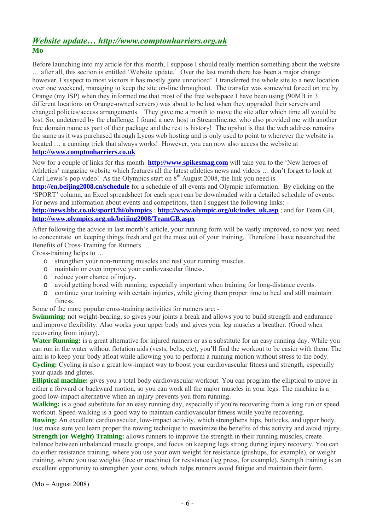### *Website update… http://www.comptonharriers.org.uk* **Mo**

Before launching into my article for this month, I suppose I should really mention something about the website … after all, this section is entitled 'Website update.' Over the last month there has been a major change however, I suspect to most visitors it has mostly gone unnoticed! I transferred the whole site to a new location over one weekend, managing to keep the site on-line throughout. The transfer was somewhat forced on me by Orange (my ISP) when they informed me that most of the free webspace I have been using (90MB in 3 different locations on Orange-owned servers) was about to be lost when they upgraded their servers and changed policies/access arrangements. They gave me a month to move the site after which time all would be lost. So, undeterred by the challenge, I found a new host in Streamline.net who also provided me with another free domain name as part of their package and the rest is history! The upshot is that the web address remains the same as it was purchased through Lycos web hosting and is only used to point to wherever the website is located ... a cunning trick that always works! However, you can now also access the website at **[http://www.comptonharriers.co.uk](http://www.comptonharriers.co.uk/)**

Now for a couple of links for this month: **[http://www.spikesmag.com](http://www.spikesmag.com/)** will take you to the 'New heroes of Athletics' magazine website which features all the latest athletics news and videos … don't forget to look at Carl Lewis's pop video! As the Olympics start on  $8<sup>th</sup>$  August 2008, the link you need is

**<http://en.beijing2008.cn/schedule>** for a schedule of all events and Olympic information. By clicking on the 'SPORT' column, an Excel spreadsheet for each sport can be downloaded with a detailed schedule of events. For news and information about events and competitors, then I suggest the following links: -

**<http://news.bbc.co.uk/sport1/hi/olympics>** ; **[http://www.olympic.org/uk/index\\_uk.asp](http://www.olympic.org/uk/index_uk.asp)** ; and for Team GB, **<http://www.olympics.org.uk/beijing2008/TeamGB.aspx>**

After following the advice in last month's article, your running form will be vastly improved, so now you need to concentrate on keeping things fresh and get the most out of your training. Therefore I have researched the Benefits of Cross-Training for Runners …

Cross-training helps to …

- o strengthen your non-running muscles and rest your running muscles.
- o maintain or even improve your cardiovascular fitness.
- o reduce your chance of injury**.**
- o avoid getting bored with running; especially important when training for long-distance events.
- o continue your training with certain injuries, while giving them proper time to heal and still maintain fitness.

Some of the more popular cross-training activities for runners are: -

**Swimming:** not weight-bearing, so gives your joints a break and allows you to build strength and endurance and improve flexibility. Also works your upper body and gives your leg muscles a breather. (Good when recovering from injury).

**Water Running:** is a great alternative for injured runners or as a substitute for an easy running day. While you can run in the water without flotation aids (vests, belts, etc), you'll find the workout to be easier with them. The aim is to keep your body afloat while allowing you to perform a running motion without stress to the body. **Cycling:** Cycling is also a great low-impact way to boost your cardiovascular fitness and strength, especially your quads and glutes.

**Elliptical machine:** gives you a total body cardiovascular workout. You can program the elliptical to move in either a forward or backward motion, so you can work all the major muscles in your legs. The machine is a good low-impact alternative when an injury prevents you from running.

**Walking:** is a good substitute for an easy running day, especially if you're recovering from a long run or speed workout. Speed-walking is a good way to maintain cardiovascular fitness while you're recovering.

**Rowing:** An excellent cardiovascular, low-impact activity, which strengthens hips, buttocks, and upper body. Just make sure you learn proper the rowing technique to maximize the benefits of this activity and avoid injury. **Strength (or Weight) Training:** allows runners to improve the strength in their running muscles, create balance between unbalanced muscle groups, and focus on keeping legs strong during injury recovery. You can do either resistance training, where you use your own weight for resistance (pushups, for example), or weight training, where you use weights (free or machine) for resistance (leg press, for example). Strength training is an excellent opportunity to strengthen your core, which helps runners avoid fatigue and maintain their form.

(Mo – August 2008)